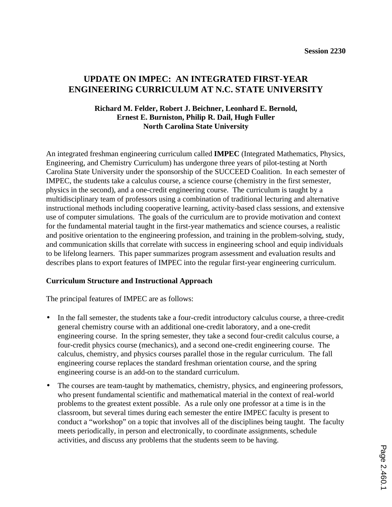# **UPDATE ON IMPEC: AN INTEGRATED FIRST-YEAR ENGINEERING CURRICULUM AT N.C. STATE UNIVERSITY**

### **Richard M. Felder, Robert J. Beichner, Leonhard E. Bernold, Ernest E. Burniston, Philip R. Dail, Hugh Fuller North Carolina State University**

An integrated freshman engineering curriculum called **IMPEC** (Integrated Mathematics, Physics, Engineering, and Chemistry Curriculum) has undergone three years of pilot-testing at North Carolina State University under the sponsorship of the SUCCEED Coalition. In each semester of IMPEC, the students take a calculus course, a science course (chemistry in the first semester, physics in the second), and a one-credit engineering course. The curriculum is taught by a multidisciplinary team of professors using a combination of traditional lecturing and alternative instructional methods including cooperative learning, activity-based class sessions, and extensive use of computer simulations. The goals of the curriculum are to provide motivation and context for the fundamental material taught in the first-year mathematics and science courses, a realistic and positive orientation to the engineering profession, and training in the problem-solving, study, and communication skills that correlate with success in engineering school and equip individuals to be lifelong learners. This paper summarizes program assessment and evaluation results and describes plans to export features of IMPEC into the regular first-year engineering curriculum.

### **Curriculum Structure and Instructional Approach**

The principal features of IMPEC are as follows:

- In the fall semester, the students take a four-credit introductory calculus course, a three-credit general chemistry course with an additional one-credit laboratory, and a one-credit engineering course. In the spring semester, they take a second four-credit calculus course, a four-credit physics course (mechanics), and a second one-credit engineering course. The calculus, chemistry, and physics courses parallel those in the regular curriculum. The fall engineering course replaces the standard freshman orientation course, and the spring engineering course is an add-on to the standard curriculum.
- The courses are team-taught by mathematics, chemistry, physics, and engineering professors, who present fundamental scientific and mathematical material in the context of real-world problems to the greatest extent possible. As a rule only one professor at a time is in the classroom, but several times during each semester the entire IMPEC faculty is present to conduct a "workshop" on a topic that involves all of the disciplines being taught. The faculty meets periodically, in person and electronically, to coordinate assignments, schedule activities, and discuss any problems that the students seem to be having.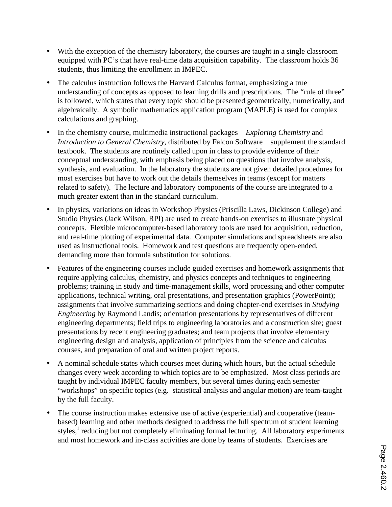- With the exception of the chemistry laboratory, the courses are taught in a single classroom equipped with PC's that have real-time data acquisition capability. The classroom holds 36 students, thus limiting the enrollment in IMPEC.
- The calculus instruction follows the Harvard Calculus format, emphasizing a true understanding of concepts as opposed to learning drills and prescriptions. The "rule of three" is followed, which states that every topic should be presented geometrically, numerically, and algebraically. A symbolic mathematics application program (MAPLE) is used for complex calculations and graphing.
- In the chemistry course, multimedia instructional packages—*Exploring Chemistry* and *Introduction to General Chemistry*, distributed by Falcon Software—supplement the standard textbook. The students are routinely called upon in class to provide evidence of their conceptual understanding, with emphasis being placed on questions that involve analysis, synthesis, and evaluation. In the laboratory the students are not given detailed procedures for most exercises but have to work out the details themselves in teams (except for matters related to safety). The lecture and laboratory components of the course are integrated to a much greater extent than in the standard curriculum.
- In physics, variations on ideas in Workshop Physics (Priscilla Laws, Dickinson College) and Studio Physics (Jack Wilson, RPI) are used to create hands-on exercises to illustrate physical concepts. Flexible microcomputer-based laboratory tools are used for acquisition, reduction, and real-time plotting of experimental data. Computer simulations and spreadsheets are also used as instructional tools. Homework and test questions are frequently open-ended, demanding more than formula substitution for solutions.
- Features of the engineering courses include guided exercises and homework assignments that require applying calculus, chemistry, and physics concepts and techniques to engineering problems; training in study and time-management skills, word processing and other computer applications, technical writing, oral presentations, and presentation graphics (PowerPoint); assignments that involve summarizing sections and doing chapter-end exercises in *Studying Engineering* by Raymond Landis; orientation presentations by representatives of different engineering departments; field trips to engineering laboratories and a construction site; guest presentations by recent engineering graduates; and team projects that involve elementary engineering design and analysis, application of principles from the science and calculus courses, and preparation of oral and written project reports.
- A nominal schedule states which courses meet during which hours, but the actual schedule changes every week according to which topics are to be emphasized. Most class periods are taught by individual IMPEC faculty members, but several times during each semester "workshops" on specific topics (e.g. statistical analysis and angular motion) are team-taught by the full faculty.
- The course instruction makes extensive use of active (experiential) and cooperative (teambased) learning and other methods designed to address the full spectrum of student learning styles, $<sup>1</sup>$  reducing but not completely eliminating formal lecturing. All laboratory experiments</sup> and most homework and in-class activities are done by teams of students. Exercises are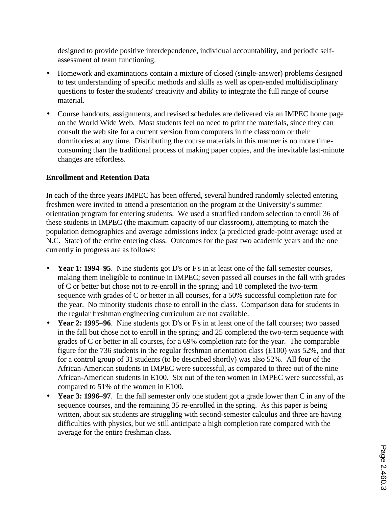designed to provide positive interdependence, individual accountability, and periodic selfassessment of team functioning.

- Homework and examinations contain a mixture of closed (single-answer) problems designed to test understanding of specific methods and skills as well as open-ended multidisciplinary questions to foster the students' creativity and ability to integrate the full range of course material.
- Course handouts, assignments, and revised schedules are delivered via an IMPEC home page on the World Wide Web. Most students feel no need to print the materials, since they can consult the web site for a current version from computers in the classroom or their dormitories at any time. Distributing the course materials in this manner is no more timeconsuming than the traditional process of making paper copies, and the inevitable last-minute changes are effortless.

## **Enrollment and Retention Data**

In each of the three years IMPEC has been offered, several hundred randomly selected entering freshmen were invited to attend a presentation on the program at the University's summer orientation program for entering students. We used a stratified random selection to enroll 36 of these students in IMPEC (the maximum capacity of our classroom), attempting to match the population demographics and average admissions index (a predicted grade-point average used at N.C. State) of the entire entering class. Outcomes for the past two academic years and the one currently in progress are as follows:

- **Year 1: 1994–95**. Nine students got D's or F's in at least one of the fall semester courses, making them ineligible to continue in IMPEC; seven passed all courses in the fall with grades of C or better but chose not to re-enroll in the spring; and 18 completed the two-term sequence with grades of C or better in all courses, for a 50% successful completion rate for the year. No minority students chose to enroll in the class. Comparison data for students in the regular freshman engineering curriculum are not available.
- **Year 2: 1995–96**. Nine students got D's or F's in at least one of the fall courses; two passed in the fall but chose not to enroll in the spring; and 25 completed the two-term sequence with grades of C or better in all courses, for a 69% completion rate for the year. The comparable figure for the 736 students in the regular freshman orientation class (E100) was 52%, and that for a control group of 31 students (to be described shortly) was also 52%. All four of the African-American students in IMPEC were successful, as compared to three out of the nine African-American students in E100. Six out of the ten women in IMPEC were successful, as compared to 51% of the women in E100.
- **Year 3: 1996–97**. In the fall semester only one student got a grade lower than C in any of the sequence courses, and the remaining 35 re-enrolled in the spring. As this paper is being written, about six students are struggling with second-semester calculus and three are having difficulties with physics, but we still anticipate a high completion rate compared with the average for the entire freshman class.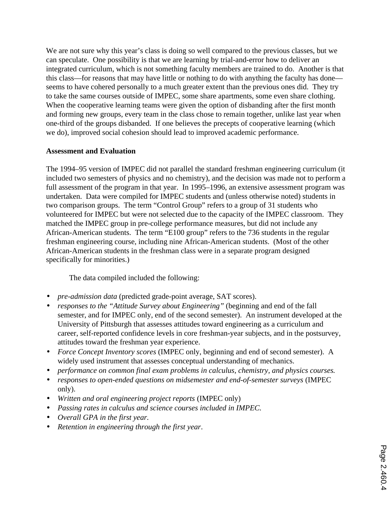We are not sure why this year's class is doing so well compared to the previous classes, but we can speculate. One possibility is that we are learning by trial-and-error how to deliver an integrated curriculum, which is not something faculty members are trained to do. Another is that this class—for reasons that may have little or nothing to do with anything the faculty has done seems to have cohered personally to a much greater extent than the previous ones did. They try to take the same courses outside of IMPEC, some share apartments, some even share clothing. When the cooperative learning teams were given the option of disbanding after the first month and forming new groups, every team in the class chose to remain together, unlike last year when one-third of the groups disbanded. If one believes the precepts of cooperative learning (which we do), improved social cohesion should lead to improved academic performance.

#### **Assessment and Evaluation**

The 1994–95 version of IMPEC did not parallel the standard freshman engineering curriculum (it included two semesters of physics and no chemistry), and the decision was made not to perform a full assessment of the program in that year. In 1995–1996, an extensive assessment program was undertaken. Data were compiled for IMPEC students and (unless otherwise noted) students in two comparison groups. The term "Control Group" refers to a group of 31 students who volunteered for IMPEC but were not selected due to the capacity of the IMPEC classroom. They matched the IMPEC group in pre-college performance measures, but did not include any African-American students. The term "E100 group" refers to the 736 students in the regular freshman engineering course, including nine African-American students. (Most of the other African-American students in the freshman class were in a separate program designed specifically for minorities.)

The data compiled included the following:

- *pre-admission data* (predicted grade-point average, SAT scores).
- *responses to the "Attitude Survey about Engineering"* (beginning and end of the fall semester, and for IMPEC only, end of the second semester). An instrument developed at the University of Pittsburgh that assesses attitudes toward engineering as a curriculum and career, self-reported confidence levels in core freshman-year subjects, and in the postsurvey, attitudes toward the freshman year experience.
- *Force Concept Inventory scores* (IMPEC only, beginning and end of second semester). A widely used instrument that assesses conceptual understanding of mechanics.
- *performance on common final exam problems in calculus, chemistry, and physics courses*.
- *responses to open-ended questions on midsemester and end-of-semester surveys* (IMPEC only).
- *Written and oral engineering project reports* (IMPEC only)
- *Passing rates in calculus and science courses included in IMPEC*.
- *Overall GPA in the first year.*
- *Retention in engineering through the first year*.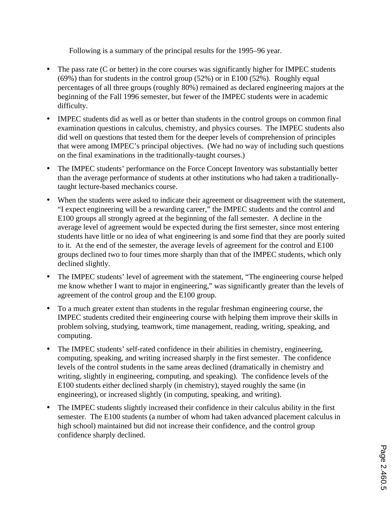Following is a summary of the principal results for the 1995–96 year.

- The pass rate (C or better) in the core courses was significantly higher for IMPEC students (69%) than for students in the control group (52%) or in E100 (52%). Roughly equal percentages of all three groups (roughly 80%) remained as declared engineering majors at the beginning of the Fall 1996 semester, but fewer of the IMPEC students were in academic difficulty.
- IMPEC students did as well as or better than students in the control groups on common final examination questions in calculus, chemistry, and physics courses. The IMPEC students also did well on questions that tested them for the deeper levels of comprehension of principles that were among IMPEC's principal objectives. (We had no way of including such questions on the final examinations in the traditionally-taught courses.)
- The IMPEC students' performance on the Force Concept Inventory was substantially better than the average performance of students at other institutions who had taken a traditionallytaught lecture-based mechanics course.
- When the students were asked to indicate their agreement or disagreement with the statement, "I expect engineering will be a rewarding career," the IMPEC students and the control and E100 groups all strongly agreed at the beginning of the fall semester. A decline in the average level of agreement would be expected during the first semester, since most entering students have little or no idea of what engineering is and some find that they are poorly suited to it. At the end of the semester, the average levels of agreement for the control and E100 groups declined two to four times more sharply than that of the IMPEC students, which only declined slightly.
- The IMPEC students' level of agreement with the statement, "The engineering course helped me know whether I want to major in engineering," was significantly greater than the levels of agreement of the control group and the E100 group.
- To a much greater extent than students in the regular freshman engineering course, the IMPEC students credited their engineering course with helping them improve their skills in problem solving, studying, teamwork, time management, reading, writing, speaking, and computing.
- The IMPEC students' self-rated confidence in their abilities in chemistry, engineering, computing, speaking, and writing increased sharply in the first semester. The confidence levels of the control students in the same areas declined (dramatically in chemistry and writing, slightly in engineering, computing, and speaking). The confidence levels of the E100 students either declined sharply (in chemistry), stayed roughly the same (in engineering), or increased slightly (in computing, speaking, and writing).
- The IMPEC students slightly increased their confidence in their calculus ability in the first semester. The E100 students (a number of whom had taken advanced placement calculus in high school) maintained but did not increase their confidence, and the control group confidence sharply declined.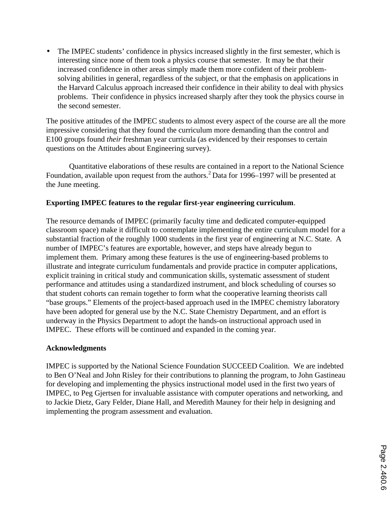• The IMPEC students' confidence in physics increased slightly in the first semester, which is interesting since none of them took a physics course that semester. It may be that their increased confidence in other areas simply made them more confident of their problemsolving abilities in general, regardless of the subject, or that the emphasis on applications in the Harvard Calculus approach increased their confidence in their ability to deal with physics problems. Their confidence in physics increased sharply after they took the physics course in the second semester.

The positive attitudes of the IMPEC students to almost every aspect of the course are all the more impressive considering that they found the curriculum more demanding than the control and E100 groups found *their* freshman year curricula (as evidenced by their responses to certain questions on the Attitudes about Engineering survey).

Quantitative elaborations of these results are contained in a report to the National Science Foundation, available upon request from the authors.<sup>2</sup> Data for 1996–1997 will be presented at the June meeting.

### **Exporting IMPEC features to the regular first-year engineering curriculum**.

The resource demands of IMPEC (primarily faculty time and dedicated computer-equipped classroom space) make it difficult to contemplate implementing the entire curriculum model for a substantial fraction of the roughly 1000 students in the first year of engineering at N.C. State. A number of IMPEC's features are exportable, however, and steps have already begun to implement them. Primary among these features is the use of engineering-based problems to illustrate and integrate curriculum fundamentals and provide practice in computer applications, explicit training in critical study and communication skills, systematic assessment of student performance and attitudes using a standardized instrument, and block scheduling of courses so that student cohorts can remain together to form what the cooperative learning theorists call "base groups." Elements of the project-based approach used in the IMPEC chemistry laboratory have been adopted for general use by the N.C. State Chemistry Department, and an effort is underway in the Physics Department to adopt the hands-on instructional approach used in IMPEC. These efforts will be continued and expanded in the coming year.

#### **Acknowledgments**

IMPEC is supported by the National Science Foundation SUCCEED Coalition. We are indebted to Ben O'Neal and John Risley for their contributions to planning the program, to John Gastineau for developing and implementing the physics instructional model used in the first two years of IMPEC, to Peg Gjertsen for invaluable assistance with computer operations and networking, and to Jackie Dietz, Gary Felder, Diane Hall, and Meredith Mauney for their help in designing and implementing the program assessment and evaluation.